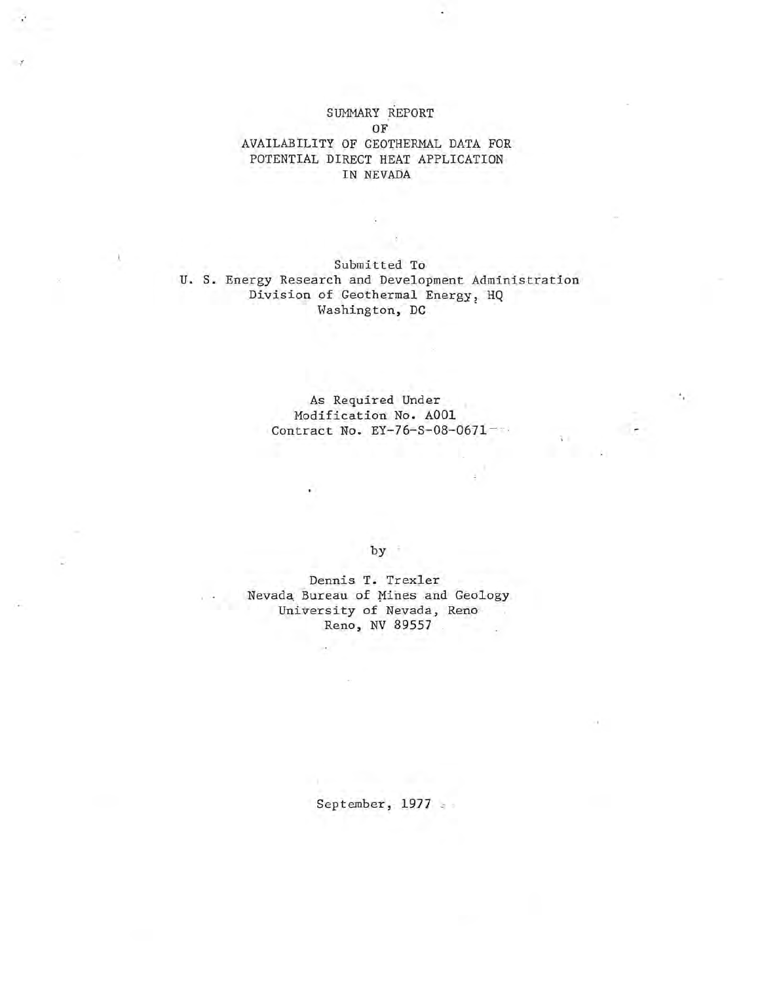SUMMARY REPORT OF AVAILABILITY OF GEOTHERMAL DATA FOR POTENTIAL DIRECT HEAT APPLICATION IN NEVADA

Submitted To U. S. Energy Research and Development Administration Division of Geothermal Energy, HQ Washington, DC

X

As Required Under Modification No. AOOl Contract No. EY-76-S-08-0671-

by :

Dennis T. Trexler Nevada Bureau of Mines and Geology University of Nevada, Reno Reno, NV 89557

September,  $1977$  .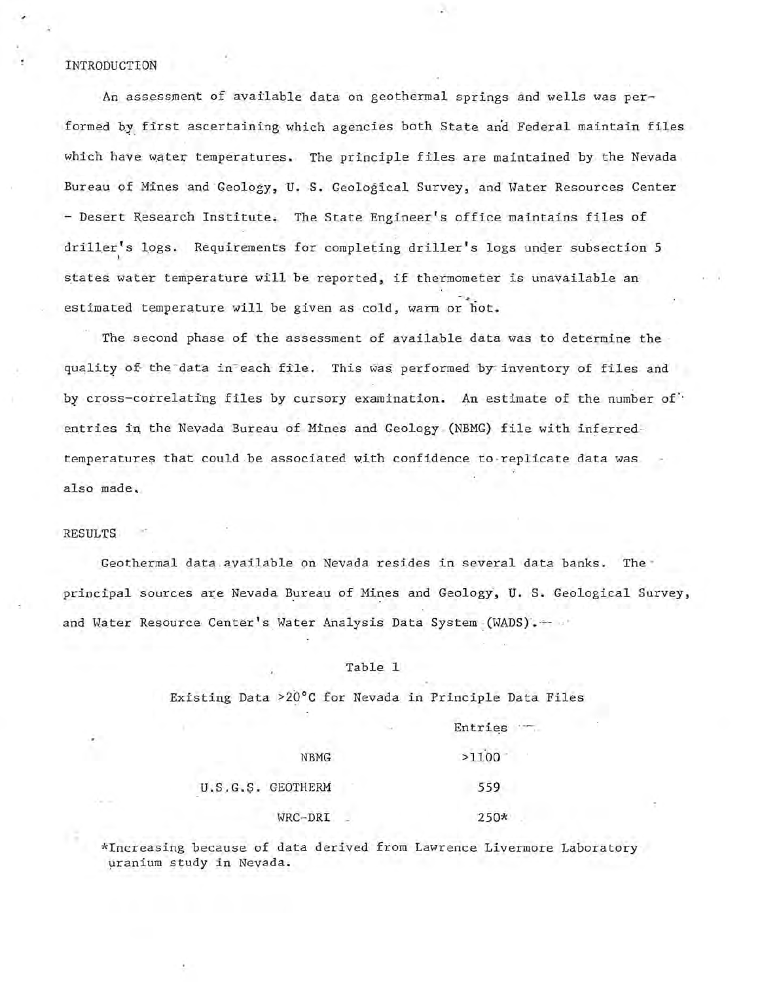#### INTRODUCTION

An assessment of available data on geothermal springs and wells was performed by first ascertaining which agencies both State and Federal maintain files which have water temperatures. The principle files are maintained by the Nevada Bureau of Mines and Geology, U. S. Geological Survey, and Water Resources Center - Desert Research Institute. The State Engineer's office maintains files of driller's logs. Requirements for completing driller's logs under subsection 5 states water temperature will be reported, if thermometer is unavailable an estimated temperature will be given as cold, warm or hot.

The second phase of the assessment of available data was to determine the quality of the data in each file. This was performed by inventory of files and by cross-correlating files by cursory examination. An estimate of the number of" entries in the Nevada Bureau of Mines and Geology (NBMG) file with inferredtemperatures that could be associated with confidence to replicate data was also made.

#### RESULTS

Geothermal data available on Nevada resides in several data banks. The principal sources are Nevada Bureau of Mines and Geology, U. S. Geological Survey, and Water Resource Center's Water Analysis Data System (WADS). + -

#### Table 1

Existing Data >20°C for Nevada in Principle Data Files

Entries -

| <b>NBMG</b>       | >1100  |
|-------------------|--------|
| U.S.G.S. GEOTHERM | 559    |
| WRC-DRI           | $250*$ |

\*Increasing because of data derived from Lawrence Livermore Laboratory uranium study in Nevada.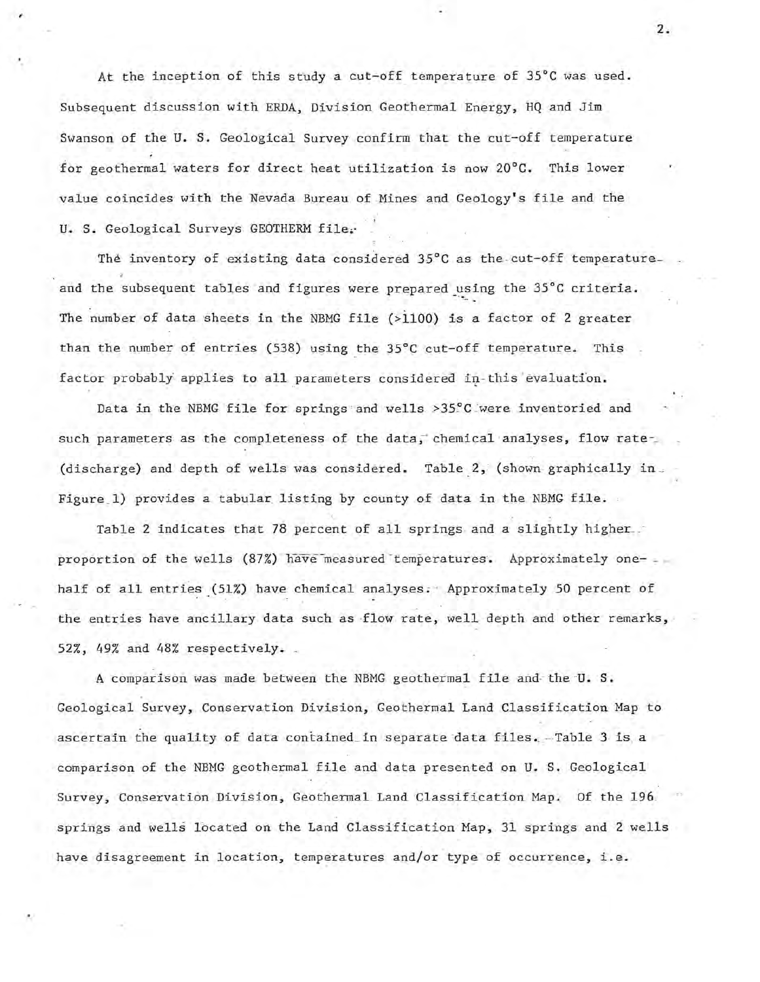At the inception of this study a cut-off temperature of 35°C was used. Subsequent discussion with ERDA, Division Geothermal Energy, HQ and Jim Swanson of the U. S. Geological Survey confirm that the cut-off temperature for geothermal waters for direct heat utilization is now 20°C. This lower value coincides with the Nevada Bureau of Mines and Geology's file and the . : U. S. Geological Surveys GEOTHERM file.

The inventory of existing data considered 35°C as the cut-off temperatureand the subsequent tables and figures were prepared using the 35°C criteria. The number of data sheets in the NBMG file (>1100) is a factor of 2 greater than the number of entries (538) using the 35°C cut-off temperature. This factor probably applies to all parameters considered in-this evaluation.

Data in the NBMG file for springs and wells >35°C were inventoried and such parameters as the completeness of the data, chemical analyses, flow rate-(discharge) and depth of wells was considered. Table 2, (shown graphically in . Figure 1) provides a tabular listing by county of data in the NBMG file.

Table 2 indicates that 78 percent of all springs and a slightly higher. proportion of the wells (87%) have measured temperatures. Approximately onehalf of all entries (51%) have chemical analyses. Approximately 50 percent of the entries have ancillary data such as flow rate, well depth and other remarks, 52%, 49% and 48% respectively.

A comparison was made between the NBMG geothermal file and the U.S. Geological Survey, Conservation Division, Geothermal Land Classification Map to ascertain the quality of data contained in separate data files. Table  $3$  is a comparison of the NBMG geothermal file and data presented on U. S. Geological Survey, Conservation Division, Geothermal Land Classification Map. Of the 196. springs and wells located on the Land Classification Map, 31 springs and 2 wells have disagreement in location, temperatures and/or type of occurrence, i.e.

2.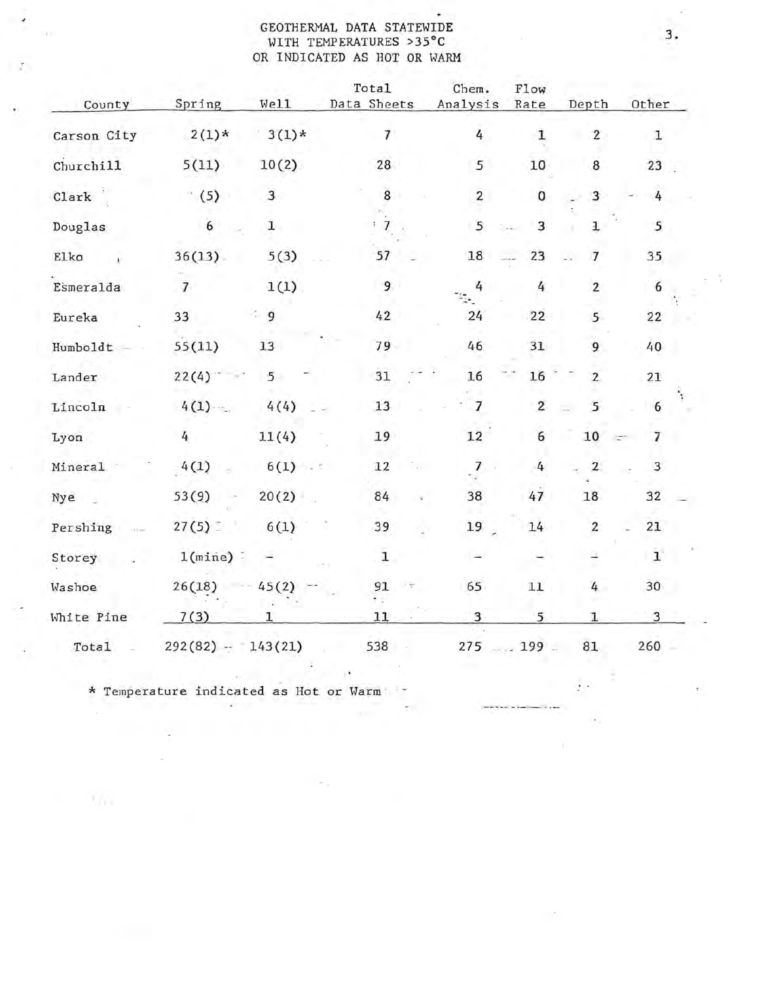#### GEOTHERMAL DATA STATEWIDE WITH TEMPERATURES >35°C OR INDICATED AS HOT OR WARM

 $\overline{\phantom{a}}$ 

l st

| County      | Spring              | Well         | Total<br>Data Sheets | Chem.<br>Analysis |                 | Flow<br>Rate     | Depth          | Other           |  |
|-------------|---------------------|--------------|----------------------|-------------------|-----------------|------------------|----------------|-----------------|--|
| Carson City | $2(1)*$             | $3(1)*$      | 7                    |                   | $\frac{1}{4}$   | $\mathbf 1$      | $\sqrt{2}$     | $\mathbf 1$     |  |
| Churchill   | 5(11)               | 10(2)        | 28                   |                   | 5               | 10               | 8              | 23 <sub>2</sub> |  |
| Clark       | (5)                 | $\mathbf{3}$ | 8                    |                   | $\overline{2}$  | $\mathbf 0$      | 3              | $\overline{4}$  |  |
| Douglas     | $6\overline{6}$     | $\mathbf{I}$ | $\mathbf{Z}$         |                   | 5               | 3                | ı              | 5               |  |
| Elko        | 36(13)              | 5(3)         | 57                   |                   | 18              | 23               | $\overline{7}$ | 35              |  |
| Esmeralda   | $\overline{7}$      | 1(1)         | 9                    |                   | 4               | 4                | $\overline{c}$ | 6               |  |
| Eureka      | 33                  | 9            | 42                   |                   | 24              | 22               | 5              | 22              |  |
| Humboldt    | 55(11)              | 13           | 79                   |                   | 46              | 31               | 9              | 40              |  |
| Lander      | 22(4)               | 5            | 31                   |                   | 16              | 16               | $\mathbf{2}$   | 21              |  |
| Lincoln     | 4(1)                | 4(4)         | 13                   |                   | $\overline{7}$  | $\overline{2}$   | 5              | 6               |  |
| Lyon        | 4                   | 11(4)        | 19                   |                   | 12              | $\boldsymbol{6}$ | 10             | 7               |  |
| Mineral     | 4(1)                | 6(1)<br>T.   | 12                   |                   | $\frac{7}{2}$   | 4                | $\overline{2}$ | $\mathbf{3}$    |  |
| Nye         | 53(9)               | 20(2)        | 84                   |                   | 38              | 47               | 18             | 32              |  |
| Pershing    | 27(5)               | 6(1)         | 39                   |                   | 19 <sup>2</sup> | 14               | $\sqrt{2}$     | 21              |  |
| Storey.     | 1(mine)             |              | $\mathbf 1$          |                   |                 |                  |                | $\mathbf{1}$    |  |
| Washoe      | 26(18)              | 45(2)        | 91                   | 그동                | 65              | 11               | 4              | 30              |  |
| White Pine  | 7(3)                | 1            | 11                   |                   | 3               | 5                | 1              | 3               |  |
| Total       | $292(82) - 143(21)$ |              | 538                  |                   |                 | $275 - 199$      | 81             | 260             |  |

- 18

\* Temperature indicated as Hot or Warm 

Oh.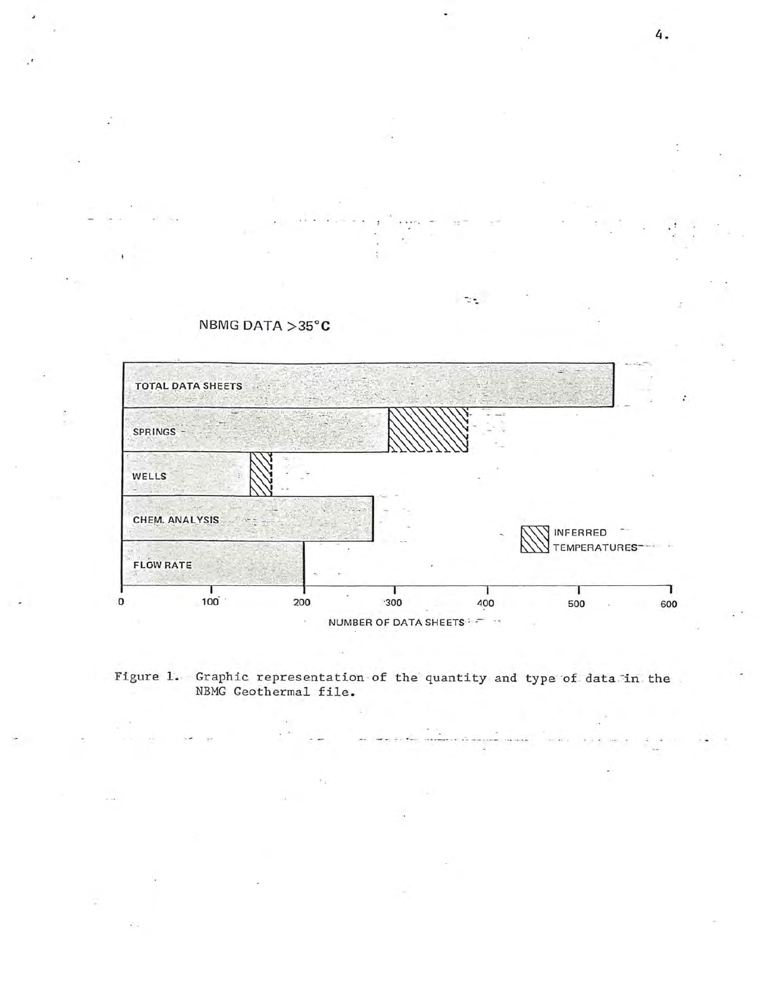

the l



NBMG DATA >35°C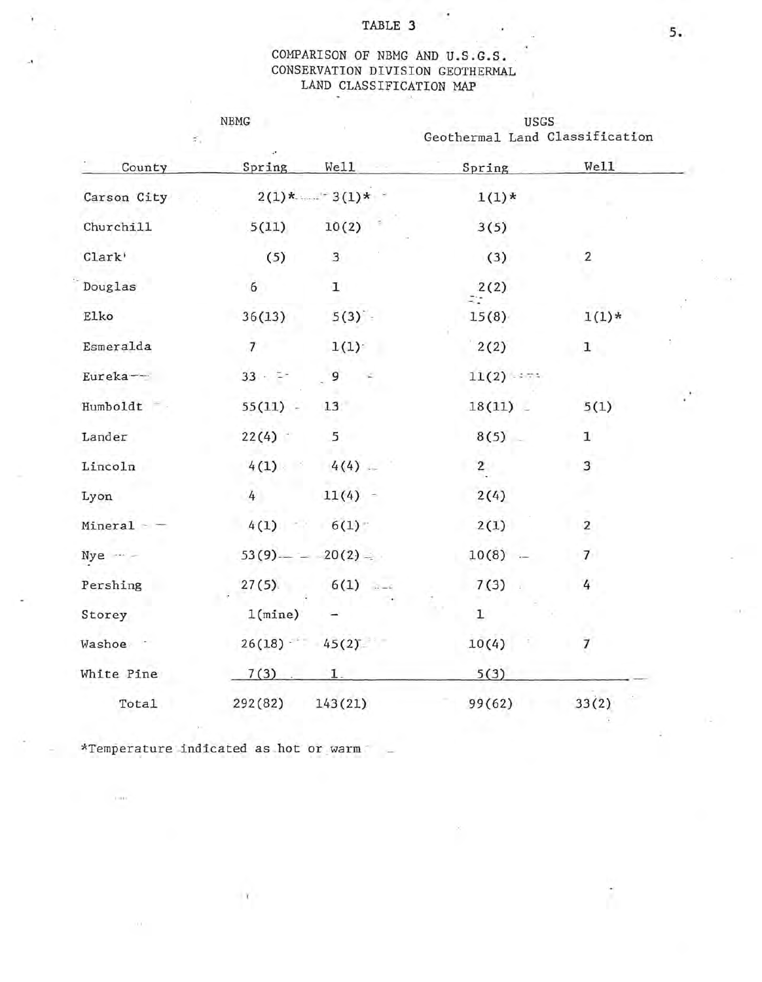#### TABLE 3

## COMPARISON OF NBMG AND U.S.G.S • CONSERVATION DIVISION GEOTHERMAL LAND CLASSIFICATION MAP

Y

| ž,          | ${\tt NBMG}$             |                 | <b>USGS</b><br>Geothermal Land Classification |                         |  |
|-------------|--------------------------|-----------------|-----------------------------------------------|-------------------------|--|
| County      | Spring                   | We11            | Spring                                        | Well                    |  |
| Carson City |                          | $2(1)*$ $3(1)*$ | $1(1)*$                                       |                         |  |
| Churchill   | 5(11)                    | 10(2)           | 3(5)                                          |                         |  |
| Clark'      | (5)                      | 3               | (3)                                           | $\overline{2}$          |  |
| Douglas     | 6                        | $\mathbf{I}$    | 2(2)                                          |                         |  |
| Elko        | 36(13)                   | 5(3)            | 15(8)                                         | $1(1)*$                 |  |
| Esmeralda   | $\overline{\mathcal{L}}$ | 1(1)            | 2(2)                                          | $\mathbf{1}$            |  |
| Eureka-     | $33 - 7$                 | 9               | $11(2)$ :                                     |                         |  |
| Humboldt    | $55(11)$ -               | 13              | $18(11)$ $-$                                  | 5(1)                    |  |
| Lander      | 22(4)                    | 5               | 8(5)                                          | ${\bf 1}$               |  |
| Lincoln     | 4(1)                     | $4(4)$ –        | $\overline{2}$                                | $\overline{\mathbf{3}}$ |  |
| Lyon        | 4                        | $11(4) -$       | 2(4)                                          |                         |  |
| Mineral     | 4(1)                     | 6(1)            | 2(1)                                          | $\overline{2}$          |  |
| $Nye -$     | $53(9)$ —                | $20(2) =$       | 10(8)                                         | 7 <sup>1</sup>          |  |
| Pershing    | 27(5)                    | $6(1)$ $-4$     | 7(3)                                          | 4                       |  |
| Storey      | 1(mine)                  |                 | $\mathbf 1$                                   |                         |  |
| Washoe ·    |                          | $26(18)$ 45(2)  | 10(4)                                         | $\overline{7}$          |  |
| White Pine  | 7(3)                     | 1.              | 5(3)                                          |                         |  |
| Total       | 292(82)                  | 143(21)         | 99(62)                                        | 33(2)                   |  |

\*Temperature indicated as hot or warm  $-$ 

 $\mathbf{Y}$ 

 $\gamma$  and

 $\mathcal{L}(\mathcal{X})$ 

...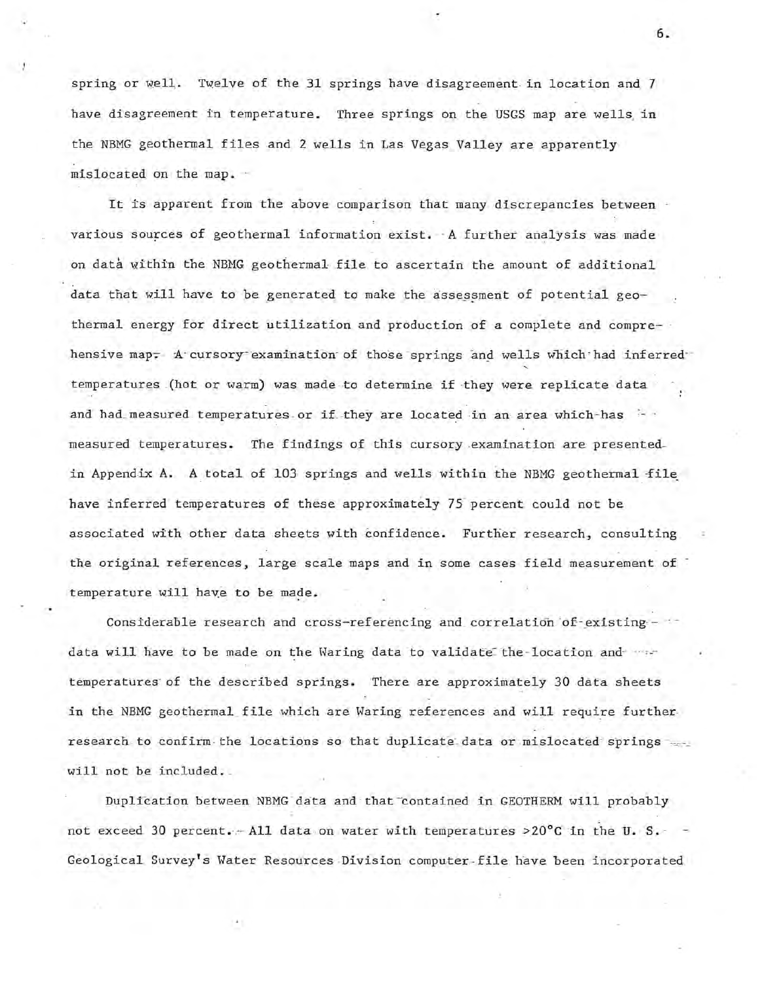spring or well. Twelve of the 31 springs have disagreement in location and 7 have disagreement in temperature. Three springs on the USGS map are wells in the NBMG geothermal files and 2 wells in Las Vegas Valley are apparently mislocated on the map. -

It is apparent from the above comparison that many discrepancies between various sources of geothermal information exist. - A further analysis was made on data within the NBMG geothermal file to ascertain the amount of additional data that will have to be generated to make the assessment of potential geothermal energy for direct utilization and production of a complete and comprehensive map. A cursory examination of those springs and wells which had inferredtemperatures (hot or warm) was made to determine if they were replicate data and had measured temperatures or if they are located in an area which-has measured temperatures. The findings of this cursory examination are presentedin Appendix A. A total of 103 springs and wells within the NBMG geothermal file have inferred temperatures of these approximately 75 percent could not be associated with other data sheets with confidence. Further research, consulting the original references, large scale maps and in some cases field measurement of temperature will have to be made.

Considerable research and cross-referencing and correlation of existing  $$ data will have to be made on the Waring data to validate the location and when temperatures of the described springs. There are approximately 30 data sheets in the NBMG geothermal file which are Waring references and will require further research to confirm the locations so that duplicate data or mislocated springs .... will not be included.

Duplication between NBMG data and that contained in GEOTHERM will probably not exceed 30 percent.  $-$  All data on water with temperatures >20°C in the U. S. -Geological Survey's Water Resources Division computer-file have been incorporated

**6.**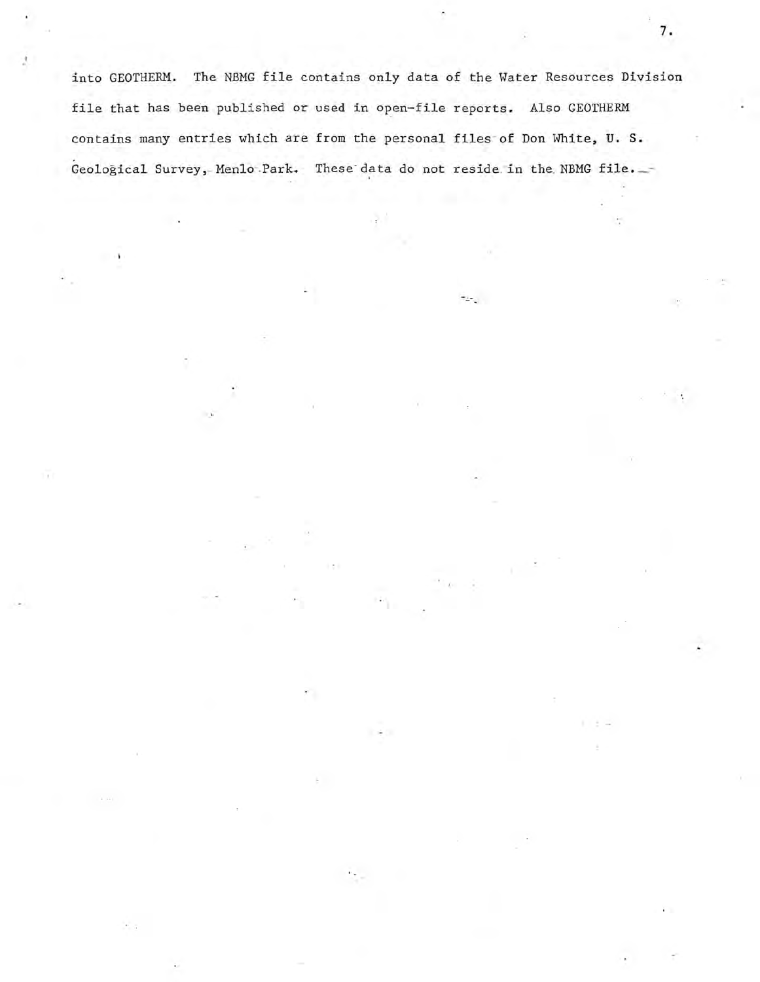into GEOTHERM. The NBMG file contains only data of the Water Resources Division file that has been published or used in open-file reports. Also GEOTHERM contains many entries which are from the personal files- of Don White, **U. S.**  Geological Survey, Menlo Park. These data do not reside in the NBMG file.

 $\pm$   $\pm$ 

to.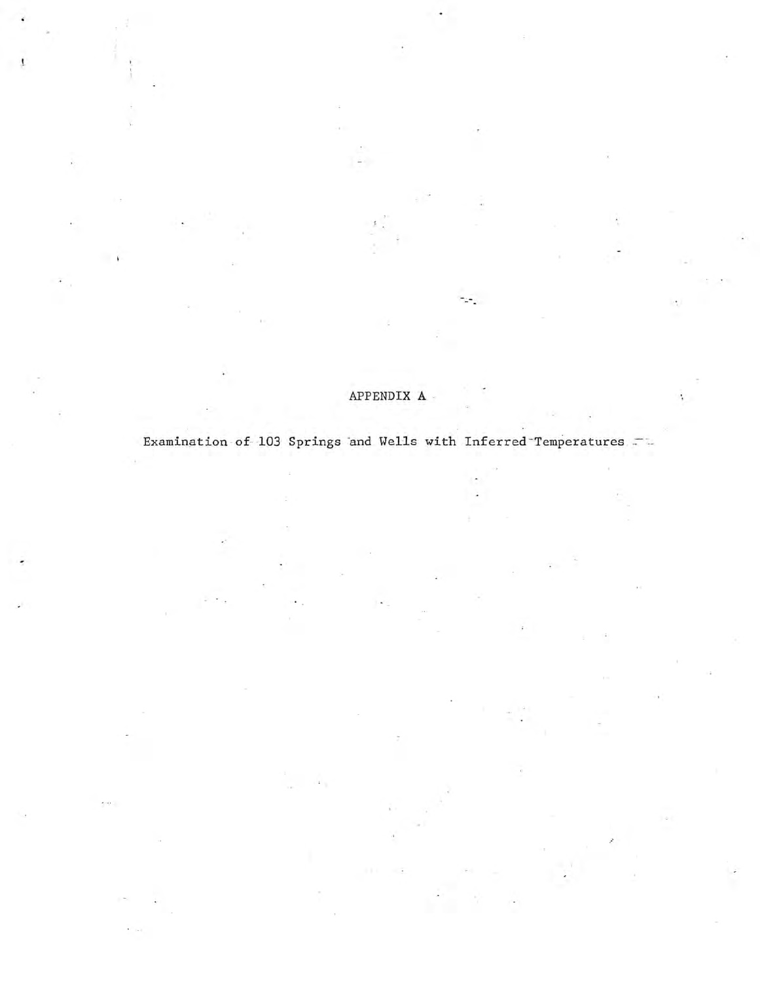## APPENDIX A

∵.

ł,

Examination of 103 Springs and Wells with Inferred Temperatures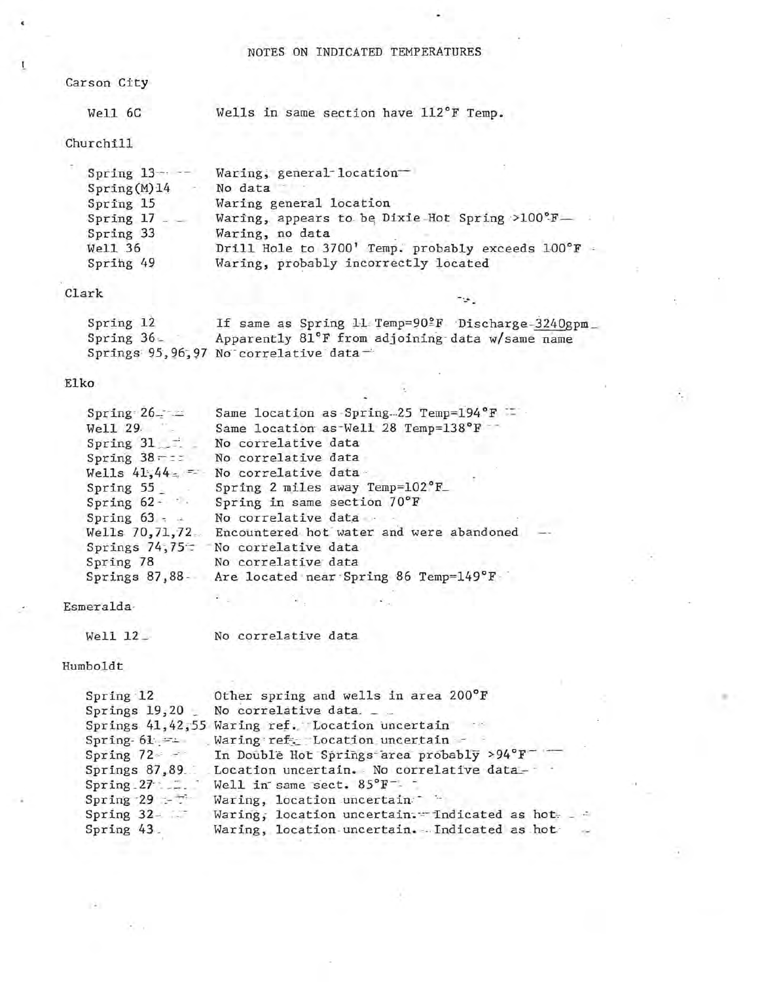#### NOTES ON INDICATED TEMPERATURES

#### Carson City

 $\mathbf{I}$ 

#### Well 6C

Wells in same section have 112°F Temp.

Churchill

÷

| Spring $13 - -$ | Waring, general-location-                          |
|-----------------|----------------------------------------------------|
| Spring(M)14     | No data                                            |
| Spring 15       | Waring general location                            |
| Spring 17       | Waring, appears to be Dixie-Hot Spring >100°F-     |
| Spring 33       | Waring, no data                                    |
| Well 36         | Drill Hole to 3700' Temp. probably exceeds 100°F - |
| Spring 49       | Waring, probably incorrectly located               |

#### Clark

| Spring 12    |                                       | If same as Spring 11 Temp=90ºF Discharge-3240gpm |  |
|--------------|---------------------------------------|--------------------------------------------------|--|
| Spring $36-$ |                                       | Apparently 81°F from adjoining data w/same name  |  |
|              | Springs 95,96,97 No correlative data- |                                                  |  |

-5.

#### Elko

| Spring $26 - 2$ | Same location as Spring 25 Temp=194°F    |  |
|-----------------|------------------------------------------|--|
| Well 29.        | Same location as Well 28 Temp=138°F      |  |
| Spring 31       | No correlative data                      |  |
| Spring $38 - z$ | No correlative data                      |  |
| Wells $41,44$   | No correlative data-                     |  |
| Spring 55       | Spring 2 miles away Temp=102°F_          |  |
| Spring $62 - 4$ | Spring in same section 70°F              |  |
| Spring $63 - 4$ | No correlative data -                    |  |
| Wells 70,71,72  | Encountered hot water and were abandoned |  |
| Springs $74,75$ | No correlative data                      |  |
| Spring 78       | No correlative data                      |  |
| Springs 87,88.  | Are located near Spring 86 Temp=149°F    |  |

Esmeralda·

Humboldt

 $+1+$ 

 $\mathcal{F}_\mathrm{c} = \mathcal{F}_\mathrm{c}$ 

| Spring 12        | Other spring and wells in area 200°F                    |
|------------------|---------------------------------------------------------|
| Springs $19,20$  | No correlative data. _ _                                |
|                  | Springs 41,42,55 Waring ref. Location uncertain         |
| $Spring-61 =$    | Waring ref. Location uncertain -                        |
| Spring $72 - 7$  | In Double Hot Springs area probably >94°F               |
|                  | Springs 87,89. Location uncertain. No correlative data- |
| $Spring 27 - 27$ | Well in same sect. $85^{\circ}$ F <sup>-1</sup>         |
| Spring $29 - 7$  | Waring, location uncertain                              |
| Spring $32 - 7$  | Waring, location uncertain. Indicated as hot-<br>- 2    |
| Spring 43.       | Waring, location uncertain. Indicated as hot            |
|                  |                                                         |

, .

÷.

Well 12 No correlative data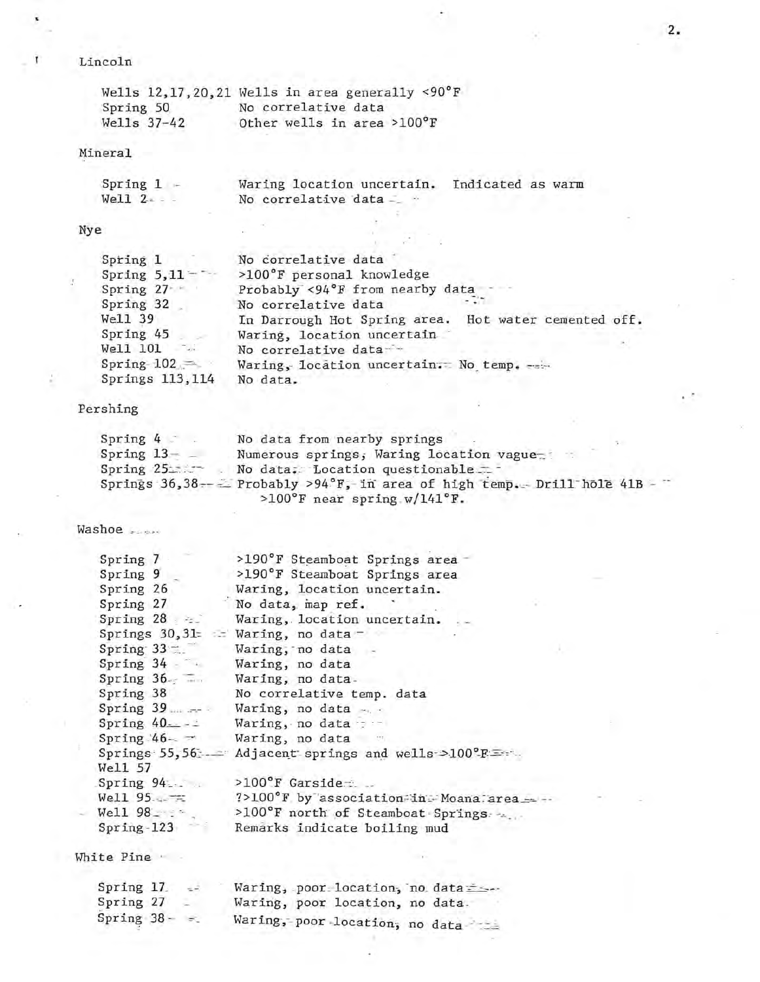### Lincoln

î.

|             | Wells $12, 17, 20, 21$ Wells in area generally <90°F |
|-------------|------------------------------------------------------|
| Spring 50   | No correlative data                                  |
| Wells 37-42 | Other wells in area >100°F                           |

#### Mineral

| Spring $1 -$ | Waring location uncertain. Indicated as warm |  |
|--------------|----------------------------------------------|--|
| $Well1$ $2$  | No correlative data -                        |  |

### Nye

Ù

| Spring 1        | No correlative data                                  |
|-----------------|------------------------------------------------------|
| Spring $5,11$ - | >100°F personal knowledge                            |
| Spring 27-      | Probably <94°F from nearby data                      |
| Spring 32       | No correlative data                                  |
| Well 39         | In Darrough Hot Spring area. Hot water cemented off. |
| Spring 45       | Waring, location uncertain                           |
| Well 101        | No correlative data-                                 |
| $Spring-102 =$  | Waring, location uncertain. No temp.                 |
| Springs 113,114 | No data.                                             |

 $\sim$ 

72

 $\mathcal{A}_{\mathcal{A}}$  .

s

c.

## Pershing

| Spring $42$  | No data from nearby springs                                              |  |
|--------------|--------------------------------------------------------------------------|--|
| $Spring 13-$ | Numerous springs, Waring location vague                                  |  |
| Spring 25    | No data: Location questionable                                           |  |
|              | Springs $36,38--$ Probably >94°F, in area of high temp. Drill hole 41B - |  |
|              | >100°F near spring $w/141°F$ .                                           |  |

Washoe ......

| Spring 7                    | >190°F Steamboat Springs area                       |
|-----------------------------|-----------------------------------------------------|
|                             |                                                     |
| Spring 9                    | >190°F Steamboat Springs area                       |
| Spring 26                   | Waring, location uncertain.                         |
| Spring 27                   | No data, map ref.                                   |
| Spring $28 \div$            | Waring, location uncertain.                         |
|                             | Springs 30,31= = Waring, no data -                  |
| $Spring 33 - 722$           | Waring, no data                                     |
| Spring 34 Waring, no data   |                                                     |
| Spring 36. Waring, no data. |                                                     |
|                             | Spring 38 No correlative temp. data                 |
|                             | Spring 39  Waring, no data                          |
| Spring $40 - -$             | Waring, no data :                                   |
|                             | Spring $46 - -$ Waring, no data                     |
|                             | Springs 55,56 - Adjacent springs and wells >100°F = |
| Well 57                     |                                                     |
| Spring 94                   | $>100^{\circ}$ F Garside                            |
| $We11 95 - 75$              | ?>100°F by association in Moana area ==             |
| Well $98 - 5$               | >100°F north of Steamboat Springs                   |
| $Spring-123$                | Remarks indicate boiling mud                        |
|                             |                                                     |

White Pine ' -

g.

| Spring 17  | $\leq$   | Waring, poor location, no data === |
|------------|----------|------------------------------------|
| Spring 27  |          | Waring, poor location, no data.    |
| Spring 38- | $\infty$ | Waring, poor location, no data     |

2.

 $\epsilon$  .  $\epsilon$